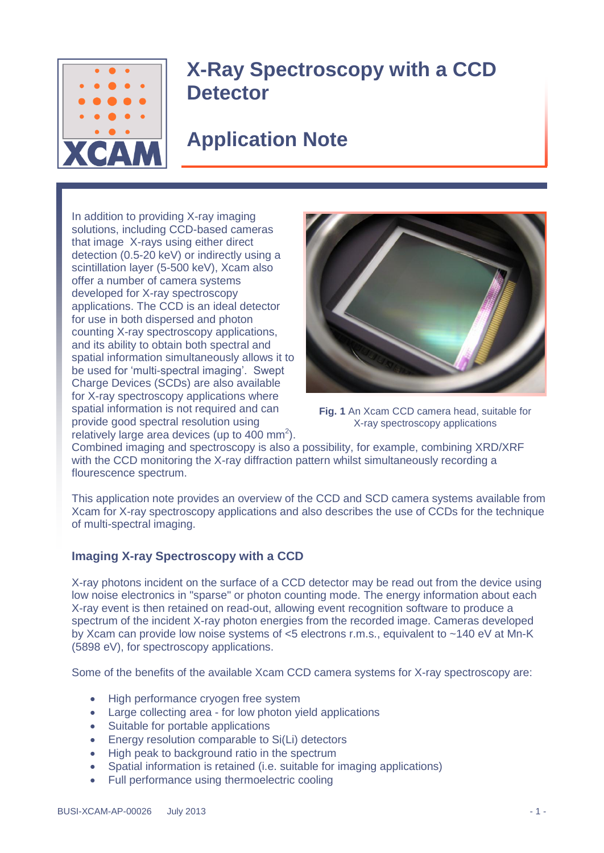

# **X-Ray Spectroscopy with a CCD Detector**

# **Application Note**

In addition to providing X-ray imaging solutions, including CCD-based cameras that image X-rays using either direct detection (0.5-20 keV) or indirectly using a scintillation layer (5-500 keV), Xcam also offer a number of camera systems developed for X-ray spectroscopy applications. The CCD is an ideal detector for use in both dispersed and photon counting X-ray spectroscopy applications, and its ability to obtain both spectral and spatial information simultaneously allows it to be used for 'multi-spectral imaging'. Swept Charge Devices (SCDs) are also available for X-ray spectroscopy applications where spatial information is not required and can provide good spectral resolution using relatively large area devices (up to  $400 \text{ mm}^2$ ).



**Fig. 1** An Xcam CCD camera head, suitable for X-ray spectroscopy applications

Combined imaging and spectroscopy is also a possibility, for example, combining XRD/XRF with the CCD monitoring the X-ray diffraction pattern whilst simultaneously recording a flourescence spectrum.

This application note provides an overview of the CCD and SCD camera systems available from Xcam for X-ray spectroscopy applications and also describes the use of CCDs for the technique of multi-spectral imaging.

### **Imaging X-ray Spectroscopy with a CCD**

X-ray photons incident on the surface of a CCD detector may be read out from the device using low noise electronics in "sparse" or photon counting mode. The energy information about each X-ray event is then retained on read-out, allowing event recognition software to produce a spectrum of the incident X-ray photon energies from the recorded image. Cameras developed by Xcam can provide low noise systems of <5 electrons r.m.s., equivalent to ~140 eV at Mn-K (5898 eV), for spectroscopy applications.

Some of the benefits of the available Xcam CCD camera systems for X-ray spectroscopy are:

- High performance cryogen free system
- Large collecting area for low photon yield applications
- Suitable for portable applications
- Energy resolution comparable to Si(Li) detectors
- High peak to background ratio in the spectrum
- Spatial information is retained (i.e. suitable for imaging applications)
- Full performance using thermoelectric cooling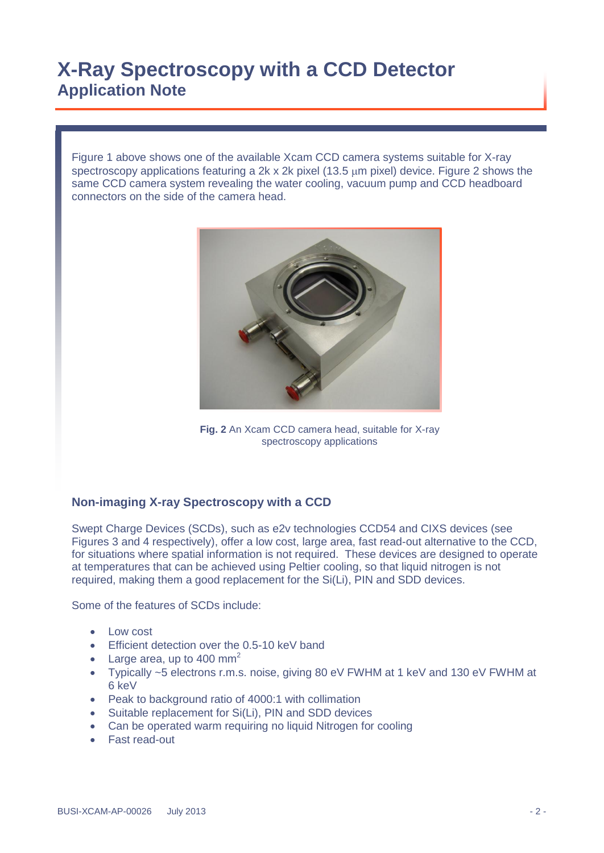Figure 1 above shows one of the available Xcam CCD camera systems suitable for X-ray spectroscopy applications featuring a 2k x 2k pixel (13.5 um pixel) device. Figure 2 shows the same CCD camera system revealing the water cooling, vacuum pump and CCD headboard connectors on the side of the camera head.



**Fig. 2** An Xcam CCD camera head, suitable for X-ray spectroscopy applications

### **Non-imaging X-ray Spectroscopy with a CCD**

Swept Charge Devices (SCDs), such as e2v technologies CCD54 and CIXS devices (see Figures 3 and 4 respectively), offer a low cost, large area, fast read-out alternative to the CCD, for situations where spatial information is not required. These devices are designed to operate at temperatures that can be achieved using Peltier cooling, so that liquid nitrogen is not required, making them a good replacement for the Si(Li), PIN and SDD devices.

Some of the features of SCDs include:

- Low cost
- **Efficient detection over the 0.5-10 keV band**
- Large area, up to 400 mm<sup>2</sup>
- Typically ~5 electrons r.m.s. noise, giving 80 eV FWHM at 1 keV and 130 eV FWHM at 6 keV
- Peak to background ratio of 4000:1 with collimation
- Suitable replacement for Si(Li), PIN and SDD devices
- Can be operated warm requiring no liquid Nitrogen for cooling
- Fast read-out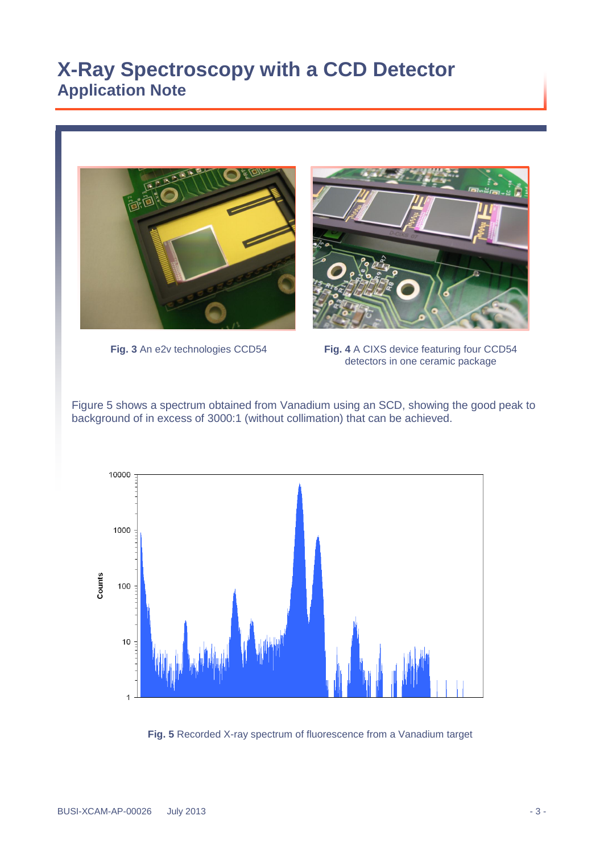



**Fig. 3** An e2v technologies CCD54

**Fig. 4** A CIXS device featuring four CCD54 detectors in one ceramic package

Figure 5 shows a spectrum obtained from Vanadium using an SCD, showing the good peak to background of in excess of 3000:1 (without collimation) that can be achieved.



**Fig. 5** Recorded X-ray spectrum of fluorescence from a Vanadium target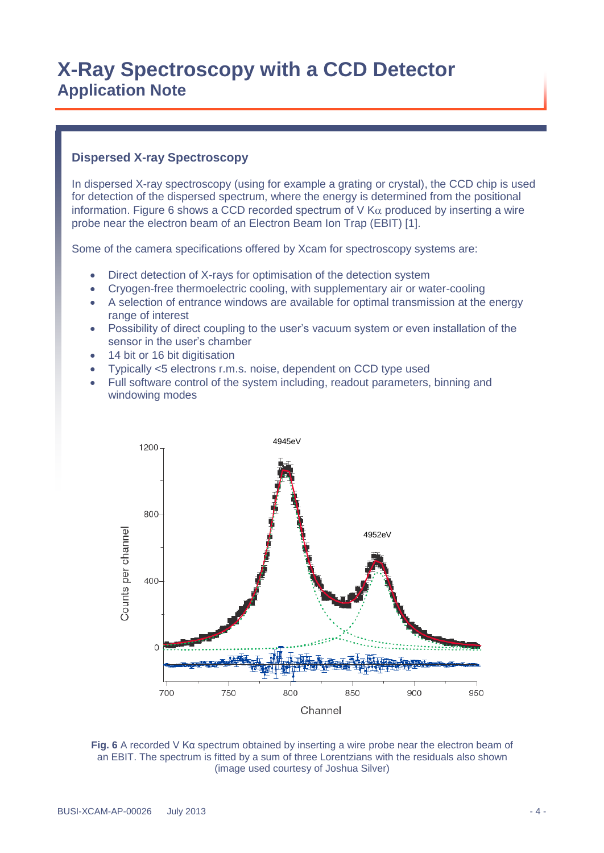#### **Dispersed X-ray Spectroscopy**

In dispersed X-ray spectroscopy (using for example a grating or crystal), the CCD chip is used for detection of the dispersed spectrum, where the energy is determined from the positional information. Figure 6 shows a CCD recorded spectrum of  $V$  K $\alpha$  produced by inserting a wire probe near the electron beam of an Electron Beam Ion Trap (EBIT) [1].

Some of the camera specifications offered by Xcam for spectroscopy systems are:

- Direct detection of X-rays for optimisation of the detection system
- Cryogen-free thermoelectric cooling, with supplementary air or water-cooling
- A selection of entrance windows are available for optimal transmission at the energy range of interest
- Possibility of direct coupling to the user's vacuum system or even installation of the sensor in the user's chamber
- 14 bit or 16 bit digitisation
- Typically <5 electrons r.m.s. noise, dependent on CCD type used
- Full software control of the system including, readout parameters, binning and windowing modes



**Fig. 6** A recorded V Kα spectrum obtained by inserting a wire probe near the electron beam of an EBIT. The spectrum is fitted by a sum of three Lorentzians with the residuals also shown (image used courtesy of Joshua Silver)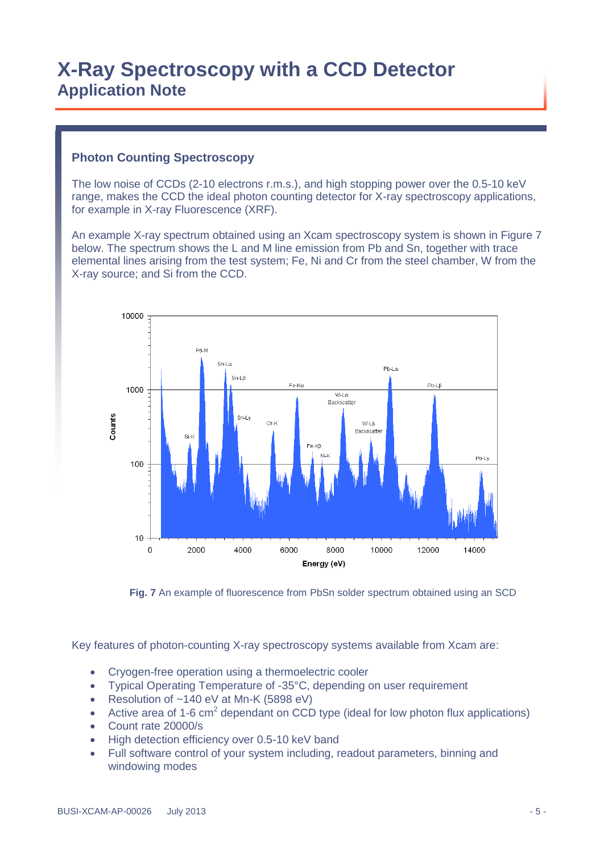### **Photon Counting Spectroscopy**

The low noise of CCDs (2-10 electrons r.m.s.), and high stopping power over the 0.5-10 keV range, makes the CCD the ideal photon counting detector for X-ray spectroscopy applications, for example in X-ray Fluorescence (XRF).

An example X-ray spectrum obtained using an Xcam spectroscopy system is shown in Figure 7 below. The spectrum shows the L and M line emission from Pb and Sn, together with trace elemental lines arising from the test system; Fe, Ni and Cr from the steel chamber, W from the X-ray source; and Si from the CCD.



**Fig. 7** An example of fluorescence from PbSn solder spectrum obtained using an SCD

Key features of photon-counting X-ray spectroscopy systems available from Xcam are:

- Cryogen-free operation using a thermoelectric cooler
- Typical Operating Temperature of -35°C, depending on user requirement
- Resolution of ~140 eV at Mn-K (5898 eV)
- Active area of 1-6  $\text{cm}^2$  dependant on CCD type (ideal for low photon flux applications)
- Count rate 20000/s
- High detection efficiency over 0.5-10 keV band
- Full software control of your system including, readout parameters, binning and windowing modes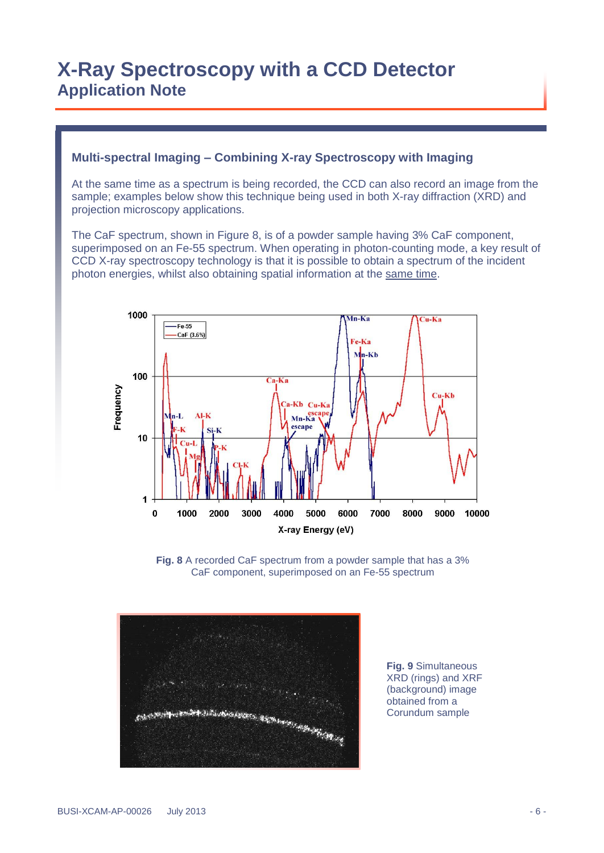#### **Multi-spectral Imaging – Combining X-ray Spectroscopy with Imaging**

At the same time as a spectrum is being recorded, the CCD can also record an image from the sample; examples below show this technique being used in both X-ray diffraction (XRD) and projection microscopy applications.

The CaF spectrum, shown in Figure 8, is of a powder sample having 3% CaF component, superimposed on an Fe-55 spectrum. When operating in photon-counting mode, a key result of CCD X-ray spectroscopy technology is that it is possible to obtain a spectrum of the incident photon energies, whilst also obtaining spatial information at the same time.



**Fig. 8** A recorded CaF spectrum from a powder sample that has a 3% CaF component, superimposed on an Fe-55 spectrum



**Fig. 9** Simultaneous XRD (rings) and XRF (background) image obtained from a Corundum sample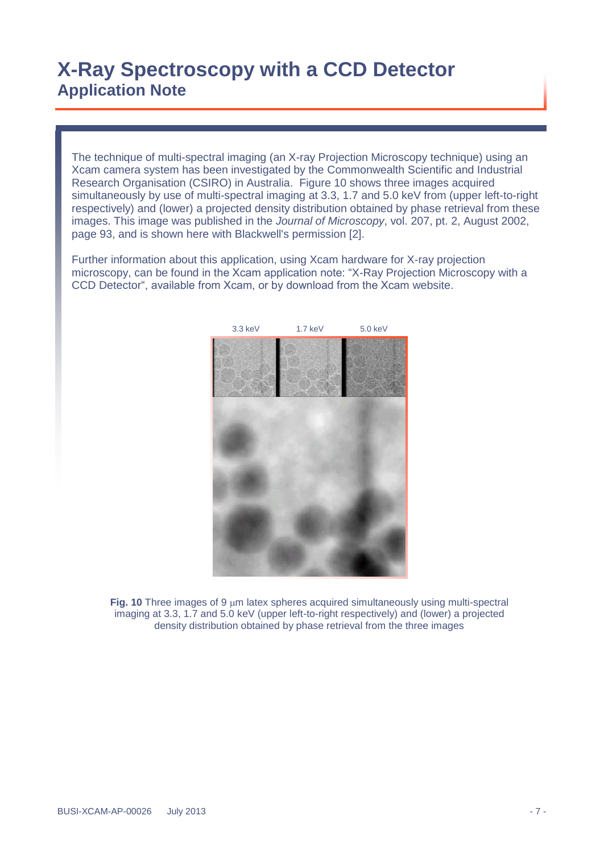The technique of multi-spectral imaging (an X-ray Projection Microscopy technique) using an Xcam camera system has been investigated by the Commonwealth Scientific and Industrial Research Organisation (CSIRO) in Australia. Figure 10 shows three images acquired simultaneously by use of multi-spectral imaging at 3.3, 1.7 and 5.0 keV from (upper left-to-right respectively) and (lower) a projected density distribution obtained by phase retrieval from these images. This image was published in the *Journal of Microscopy*, vol. 207, pt. 2, August 2002, page 93, and is shown here with Blackwell's permission [2].

Further information about this application, using Xcam hardware for X-ray projection microscopy, can be found in the Xcam application note: "X-Ray Projection Microscopy with a CCD Detector", available from Xcam, or by download from the Xcam website.



Fig. 10 Three images of 9  $\mu$ m latex spheres acquired simultaneously using multi-spectral imaging at 3.3, 1.7 and 5.0 keV (upper left-to-right respectively) and (lower) a projected density distribution obtained by phase retrieval from the three images